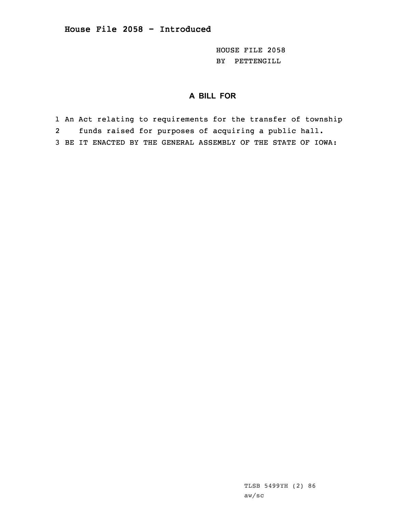HOUSE FILE 2058 BY PETTENGILL

## **A BILL FOR**

1 An Act relating to requirements for the transfer of township 2 funds raised for purposes of acquiring <sup>a</sup> public hall. 3 BE IT ENACTED BY THE GENERAL ASSEMBLY OF THE STATE OF IOWA: